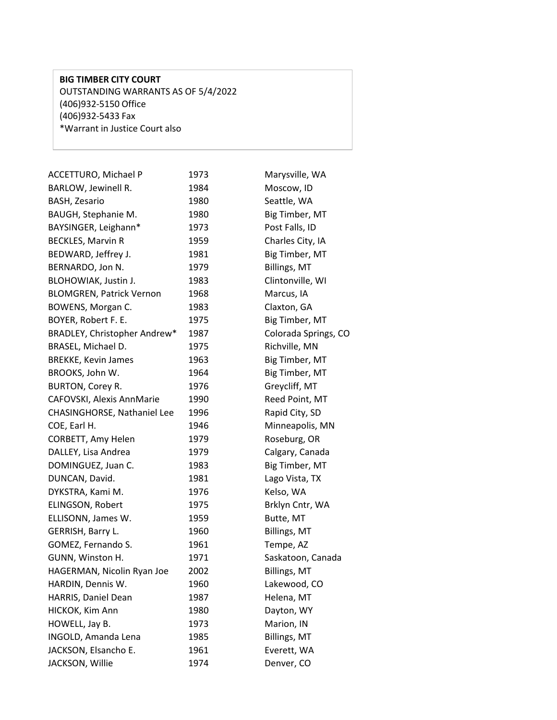## **BIG TIMBER CITY COURT** OUTSTANDING WARRANTS AS OF 5/4/2022 (406)932-5150 Office (406)932-5433 Fax \*Warrant in Justice Court also

| ACCETTURO, Michael P               | 1973 | Marysville, WA       |
|------------------------------------|------|----------------------|
| BARLOW, Jewinell R.                | 1984 | Moscow, ID           |
| <b>BASH, Zesario</b>               | 1980 | Seattle, WA          |
| BAUGH, Stephanie M.                | 1980 | Big Timber, MT       |
| BAYSINGER, Leighann*               | 1973 | Post Falls, ID       |
| <b>BECKLES, Marvin R</b>           | 1959 | Charles City, IA     |
| BEDWARD, Jeffrey J.                | 1981 | Big Timber, MT       |
| BERNARDO, Jon N.                   | 1979 | Billings, MT         |
| BLOHOWIAK, Justin J.               | 1983 | Clintonville, WI     |
| <b>BLOMGREN, Patrick Vernon</b>    | 1968 | Marcus, IA           |
| BOWENS, Morgan C.                  | 1983 | Claxton, GA          |
| BOYER, Robert F. E.                | 1975 | Big Timber, MT       |
| BRADLEY, Christopher Andrew*       | 1987 | Colorada Springs, CO |
| BRASEL, Michael D.                 | 1975 | Richville, MN        |
| <b>BREKKE, Kevin James</b>         | 1963 | Big Timber, MT       |
| BROOKS, John W.                    | 1964 | Big Timber, MT       |
| BURTON, Corey R.                   | 1976 | Greycliff, MT        |
| CAFOVSKI, Alexis AnnMarie          | 1990 | Reed Point, MT       |
| <b>CHASINGHORSE, Nathaniel Lee</b> | 1996 | Rapid City, SD       |
| COE, Earl H.                       | 1946 | Minneapolis, MN      |
| CORBETT, Amy Helen                 | 1979 | Roseburg, OR         |
| DALLEY, Lisa Andrea                | 1979 | Calgary, Canada      |
| DOMINGUEZ, Juan C.                 | 1983 | Big Timber, MT       |
| DUNCAN, David.                     | 1981 | Lago Vista, TX       |
| DYKSTRA, Kami M.                   | 1976 | Kelso, WA            |
| ELINGSON, Robert                   | 1975 | Brklyn Cntr, WA      |
| ELLISONN, James W.                 | 1959 | Butte, MT            |
| GERRISH, Barry L.                  | 1960 | Billings, MT         |
| GOMEZ, Fernando S.                 | 1961 | Tempe, AZ            |
| GUNN, Winston H.                   | 1971 | Saskatoon, Canada    |
| HAGERMAN, Nicolin Ryan Joe         | 2002 | <b>Billings, MT</b>  |
| HARDIN, Dennis W.                  | 1960 | Lakewood, CO         |
| HARRIS, Daniel Dean                | 1987 | Helena, MT           |
| HICKOK, Kim Ann                    | 1980 | Dayton, WY           |
| HOWELL, Jay B.                     | 1973 | Marion, IN           |
| INGOLD, Amanda Lena                | 1985 | Billings, MT         |
| JACKSON, Elsancho E.               | 1961 | Everett, WA          |
| JACKSON, Willie                    | 1974 | Denver, CO           |